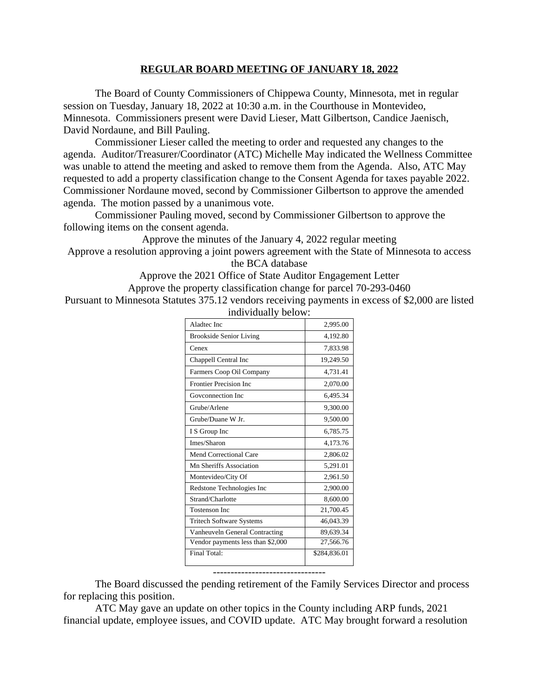## **REGULAR BOARD MEETING OF JANUARY 18, 2022**

The Board of County Commissioners of Chippewa County, Minnesota, met in regular session on Tuesday, January 18, 2022 at 10:30 a.m. in the Courthouse in Montevideo, Minnesota. Commissioners present were David Lieser, Matt Gilbertson, Candice Jaenisch, David Nordaune, and Bill Pauling.

Commissioner Lieser called the meeting to order and requested any changes to the agenda. Auditor/Treasurer/Coordinator (ATC) Michelle May indicated the Wellness Committee was unable to attend the meeting and asked to remove them from the Agenda. Also, ATC May requested to add a property classification change to the Consent Agenda for taxes payable 2022. Commissioner Nordaune moved, second by Commissioner Gilbertson to approve the amended agenda. The motion passed by a unanimous vote.

Commissioner Pauling moved, second by Commissioner Gilbertson to approve the following items on the consent agenda.

Approve the minutes of the January 4, 2022 regular meeting Approve a resolution approving a joint powers agreement with the State of Minnesota to access

the BCA database

Approve the 2021 Office of State Auditor Engagement Letter Approve the property classification change for parcel 70-293-0460

Pursuant to Minnesota Statutes 375.12 vendors receiving payments in excess of \$2,000 are listed individually below:

| Aladtec Inc                           | 2,995.00     |
|---------------------------------------|--------------|
| <b>Brookside Senior Living</b>        | 4,192.80     |
| Cenex                                 | 7,833.98     |
| Chappell Central Inc                  | 19,249.50    |
| Farmers Coop Oil Company              | 4,731.41     |
| Frontier Precision Inc                | 2,070.00     |
| Goveonnection Inc.                    | 6,495.34     |
| Grube/Arlene                          | 9,300.00     |
| Grube/Duane W Jr.                     | 9,500.00     |
| I S Group Inc                         | 6,785.75     |
| Imes/Sharon                           | 4,173.76     |
| Mend Correctional Care                | 2,806.02     |
| Mn Sheriffs Association               | 5,291.01     |
| Montevideo/City Of                    | 2,961.50     |
| Redstone Technologies Inc             | 2,900.00     |
| Strand/Charlotte                      | 8,600.00     |
| <b>Tostenson Inc</b>                  | 21,700.45    |
| <b>Tritech Software Systems</b>       | 46,043.39    |
| <b>Vanheuveln General Contracting</b> | 89,639.34    |
| Vendor payments less than \$2,000     | 27,566.76    |
| Final Total:                          | \$284,836.01 |
|                                       |              |

The Board discussed the pending retirement of the Family Services Director and process for replacing this position.

--------------------------------

ATC May gave an update on other topics in the County including ARP funds, 2021 financial update, employee issues, and COVID update. ATC May brought forward a resolution